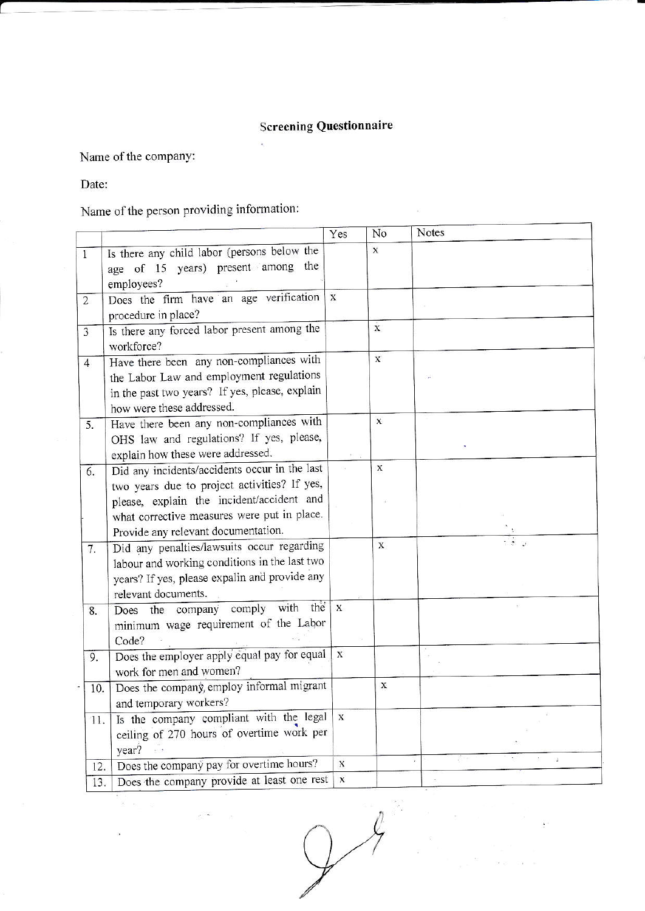## **Screening Questionnaire**

Name of the company:

i,  $\bar{c}$ 

Date:

Name of the person providing information:

|                |                                                                                                                                                                                                                                  | Yes          | No           | Notes |
|----------------|----------------------------------------------------------------------------------------------------------------------------------------------------------------------------------------------------------------------------------|--------------|--------------|-------|
| 1              | Is there any child labor (persons below the<br>age of 15 years) present among the<br>employees?                                                                                                                                  |              | $\mathbf x$  |       |
| $\overline{2}$ | Does the firm have an age verification<br>procedure in place?                                                                                                                                                                    | $\mathbf{x}$ |              |       |
| 3              | Is there any forced labor present among the<br>workforce?                                                                                                                                                                        |              | $\dot{x}$    |       |
| 4              | Have there been any non-compliances with<br>the Labor Law and employment regulations<br>in the past two years? If yes, please, explain<br>how were these addressed.                                                              |              | $\bar{X}$    |       |
| 5.             | Have there been any non-compliances with<br>OHS law and regulations? If yes, please,<br>explain how these were addressed.                                                                                                        |              | $\mathbf{x}$ |       |
| 6.             | Did any incidents/accidents occur in the last<br>two years due to project activities? If yes,<br>please, explain the incident/accident and<br>what corrective measures were put in place.<br>Provide any relevant documentation. |              | $\mathbf X$  |       |
| 7.             | Did any penalties/lawsuits occur regarding<br>labour and working conditions in the last two<br>years? If yes, please expalin and provide any<br>relevant documents.                                                              |              | $\mathbf{X}$ |       |
| 8.             | comply with the<br>Does the company<br>minimum wage requirement of the Labor<br>Code?                                                                                                                                            | $\mathbf{x}$ |              |       |
| 9.             | Does the employer apply equal pay for equal<br>work for men and women?                                                                                                                                                           | $\mathbf{x}$ |              |       |
| 10.            | Does the company, employ informal migrant<br>and temporary workers?                                                                                                                                                              |              | X            |       |
| 11.            | Is the company compliant with the legal<br>ceiling of 270 hours of overtime work per<br>year?                                                                                                                                    | $\mathbf X$  |              |       |
| 12.            | Does the company pay for overtime hours?                                                                                                                                                                                         | $\mathbf{X}$ |              |       |
| 13.            | Does the company provide at least one rest                                                                                                                                                                                       | X            |              |       |

 $34$